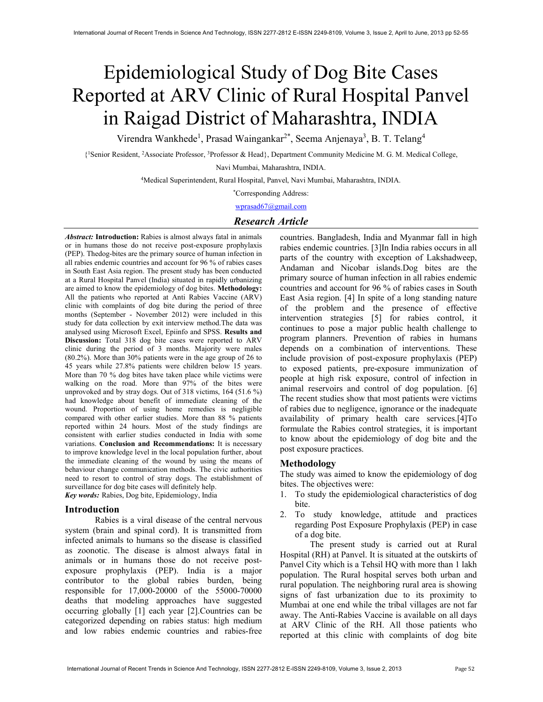# Epidemiological Study of Dog Bite Cases Reported at ARV Clinic of Rural Hospital Panvel in Raigad District of Maharashtra, INDIA

Virendra Wankhede<sup>1</sup>, Prasad Waingankar<sup>2\*</sup>, Seema Anjenaya<sup>3</sup>, B. T. Telang<sup>4</sup>

{ <sup>1</sup>Senior Resident, <sup>2</sup>Associate Professor, <sup>3</sup>Professor & Head}, Department Community Medicine M. G. M. Medical College,

Navi Mumbai, Maharashtra, INDIA.

<sup>4</sup>Medical Superintendent, Rural Hospital, Panvel, Navi Mumbai, Maharashtra, INDIA.

\*Corresponding Address:

wprasad67@gmail.com

# Research Article

Abstract: Introduction: Rabies is almost always fatal in animals or in humans those do not receive post-exposure prophylaxis (PEP). Thedog-bites are the primary source of human infection in all rabies endemic countries and account for 96 % of rabies cases in South East Asia region. The present study has been conducted at a Rural Hospital Panvel (India) situated in rapidly urbanizing are aimed to know the epidemiology of dog bites. Methodology: All the patients who reported at Anti Rabies Vaccine (ARV) clinic with complaints of dog bite during the period of three months (September - November 2012) were included in this study for data collection by exit interview method.The data was analysed using Microsoft Excel, Epiinfo and SPSS. Results and Discussion: Total 318 dog bite cases were reported to ARV clinic during the period of 3 months. Majority were males (80.2%). More than 30% patients were in the age group of 26 to 45 years while 27.8% patients were children below 15 years. More than 70 % dog bites have taken place while victims were walking on the road. More than 97% of the bites were unprovoked and by stray dogs. Out of 318 victims, 164 (51.6 %) had knowledge about benefit of immediate cleaning of the wound. Proportion of using home remedies is negligible compared with other earlier studies. More than 88 % patients reported within 24 hours. Most of the study findings are consistent with earlier studies conducted in India with some variations. Conclusion and Recommendations: It is necessary to improve knowledge level in the local population further, about the immediate cleaning of the wound by using the means of behaviour change communication methods. The civic authorities need to resort to control of stray dogs. The establishment of surveillance for dog bite cases will definitely help. Key words: Rabies, Dog bite, Epidemiology, India

### Introduction

Rabies is a viral disease of the central nervous system (brain and spinal cord). It is transmitted from infected animals to humans so the disease is classified as zoonotic. The disease is almost always fatal in animals or in humans those do not receive postexposure prophylaxis (PEP). India is a major contributor to the global rabies burden, being responsible for 17,000-20000 of the 55000-70000 deaths that modeling approaches have suggested occurring globally [1] each year [2].Countries can be categorized depending on rabies status: high medium and low rabies endemic countries and rabies-free

countries. Bangladesh, India and Myanmar fall in high rabies endemic countries. [3]In India rabies occurs in all parts of the country with exception of Lakshadweep, Andaman and Nicobar islands.Dog bites are the primary source of human infection in all rabies endemic countries and account for 96 % of rabies cases in South East Asia region. [4] In spite of a long standing nature of the problem and the presence of effective intervention strategies [5] for rabies control, it continues to pose a major public health challenge to program planners. Prevention of rabies in humans depends on a combination of interventions. These include provision of post-exposure prophylaxis (PEP) to exposed patients, pre-exposure immunization of people at high risk exposure, control of infection in animal reservoirs and control of dog population. [6] The recent studies show that most patients were victims of rabies due to negligence, ignorance or the inadequate availability of primary health care services.[4]To formulate the Rabies control strategies, it is important to know about the epidemiology of dog bite and the post exposure practices.

### Methodology

The study was aimed to know the epidemiology of dog bites. The objectives were:

- 1. To study the epidemiological characteristics of dog bite.
- 2. To study knowledge, attitude and practices regarding Post Exposure Prophylaxis (PEP) in case of a dog bite.

The present study is carried out at Rural Hospital (RH) at Panvel. It is situated at the outskirts of Panvel City which is a Tehsil HQ with more than 1 lakh population. The Rural hospital serves both urban and rural population. The neighboring rural area is showing signs of fast urbanization due to its proximity to Mumbai at one end while the tribal villages are not far away. The Anti-Rabies Vaccine is available on all days at ARV Clinic of the RH. All those patients who reported at this clinic with complaints of dog bite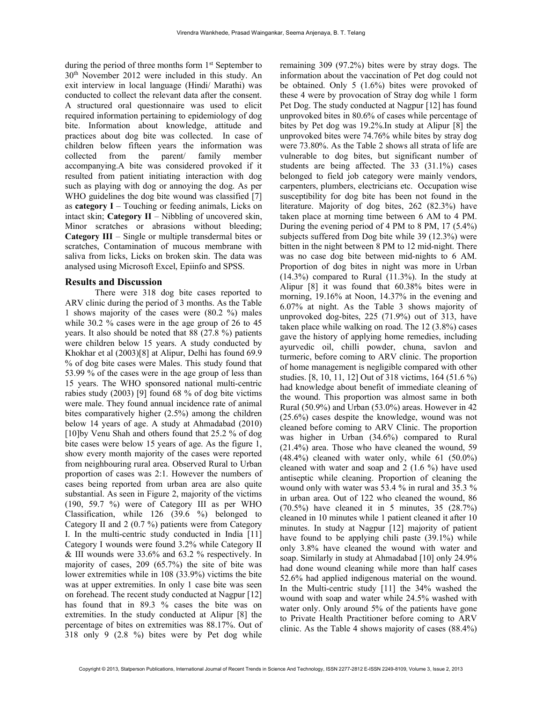during the period of three months form 1<sup>st</sup> September to 30th November 2012 were included in this study. An exit interview in local language (Hindi/ Marathi) was conducted to collect the relevant data after the consent. A structured oral questionnaire was used to elicit required information pertaining to epidemiology of dog bite. Information about knowledge, attitude and practices about dog bite was collected. In case of children below fifteen years the information was collected from the parent/ family member accompanying.A bite was considered provoked if it resulted from patient initiating interaction with dog such as playing with dog or annoying the dog. As per WHO guidelines the dog bite wound was classified [7] as category  $I$  – Touching or feeding animals, Licks on intact skin; Category  $II$  – Nibbling of uncovered skin, Minor scratches or abrasions without bleeding; Category III – Single or multiple transdermal bites or scratches, Contamination of mucous membrane with saliva from licks, Licks on broken skin. The data was analysed using Microsoft Excel, Epiinfo and SPSS.

## Results and Discussion

There were 318 dog bite cases reported to ARV clinic during the period of 3 months. As the Table 1 shows majority of the cases were (80.2 %) males while 30.2 % cases were in the age group of 26 to 45 years. It also should be noted that 88 (27.8 %) patients were children below 15 years. A study conducted by Khokhar et al (2003)[8] at Alipur, Delhi has found 69.9 % of dog bite cases were Males. This study found that 53.99 % of the cases were in the age group of less than 15 years. The WHO sponsored national multi-centric rabies study (2003) [9] found 68 % of dog bite victims were male. They found annual incidence rate of animal bites comparatively higher (2.5%) among the children below 14 years of age. A study at Ahmadabad (2010) [10]by Venu Shah and others found that 25.2 % of dog bite cases were below 15 years of age. As the figure 1, show every month majority of the cases were reported from neighbouring rural area. Observed Rural to Urban proportion of cases was 2:1. However the numbers of cases being reported from urban area are also quite substantial. As seen in Figure 2, majority of the victims (190, 59.7 %) were of Category III as per WHO Classification, while 126 (39.6 %) belonged to Category II and 2 (0.7 %) patients were from Category I. In the multi-centric study conducted in India [11] Category I wounds were found 3.2% while Category II & III wounds were 33.6% and 63.2 % respectively. In majority of cases, 209 (65.7%) the site of bite was lower extremities while in 108 (33.9%) victims the bite was at upper extremities. In only 1 case bite was seen on forehead. The recent study conducted at Nagpur [12] has found that in 89.3 % cases the bite was on extremities. In the study conducted at Alipur [8] the percentage of bites on extremities was 88.17%. Out of 318 only 9 (2.8 %) bites were by Pet dog while

remaining 309 (97.2%) bites were by stray dogs. The information about the vaccination of Pet dog could not be obtained. Only 5 (1.6%) bites were provoked of these 4 were by provocation of Stray dog while 1 form Pet Dog. The study conducted at Nagpur [12] has found unprovoked bites in 80.6% of cases while percentage of bites by Pet dog was 19.2%.In study at Alipur [8] the unprovoked bites were 74.76% while bites by stray dog were 73.80%. As the Table 2 shows all strata of life are vulnerable to dog bites, but significant number of students are being affected. The 33 (31.1%) cases belonged to field job category were mainly vendors, carpenters, plumbers, electricians etc. Occupation wise susceptibility for dog bite has been not found in the literature. Majority of dog bites, 262 (82.3%) have taken place at morning time between 6 AM to 4 PM. During the evening period of 4 PM to 8 PM, 17 (5.4%) subjects suffered from Dog bite while 39 (12.3%) were bitten in the night between 8 PM to 12 mid-night. There was no case dog bite between mid-nights to 6 AM. Proportion of dog bites in night was more in Urban (14.3%) compared to Rural (11.3%). In the study at Alipur [8] it was found that 60.38% bites were in morning, 19.16% at Noon, 14.37% in the evening and 6.07% at night. As the Table 3 shows majority of unprovoked dog-bites, 225 (71.9%) out of 313, have taken place while walking on road. The 12 (3.8%) cases gave the history of applying home remedies, including ayurvedic oil, chilli powder, chuna, savlon and turmeric, before coming to ARV clinic. The proportion of home management is negligible compared with other studies. [8, 10, 11, 12] Out of 318 victims, 164 (51.6 %) had knowledge about benefit of immediate cleaning of the wound. This proportion was almost same in both Rural (50.9%) and Urban (53.0%) areas. However in 42 (25.6%) cases despite the knowledge, wound was not cleaned before coming to ARV Clinic. The proportion was higher in Urban (34.6%) compared to Rural (21.4%) area. Those who have cleaned the wound, 59 (48.4%) cleaned with water only, while 61 (50.0%) cleaned with water and soap and 2 (1.6 %) have used antiseptic while cleaning. Proportion of cleaning the wound only with water was 53.4 % in rural and 35.3 % in urban area. Out of 122 who cleaned the wound, 86 (70.5%) have cleaned it in 5 minutes, 35 (28.7%) cleaned in 10 minutes while 1 patient cleaned it after 10 minutes. In study at Nagpur [12] majority of patient have found to be applying chili paste (39.1%) while only 3.8% have cleaned the wound with water and soap. Similarly in study at Ahmadabad [10] only 24.9% had done wound cleaning while more than half cases 52.6% had applied indigenous material on the wound. In the Multi-centric study [11] the 34% washed the wound with soap and water while 24.5% washed with water only. Only around 5% of the patients have gone to Private Health Practitioner before coming to ARV clinic. As the Table 4 shows majority of cases (88.4%)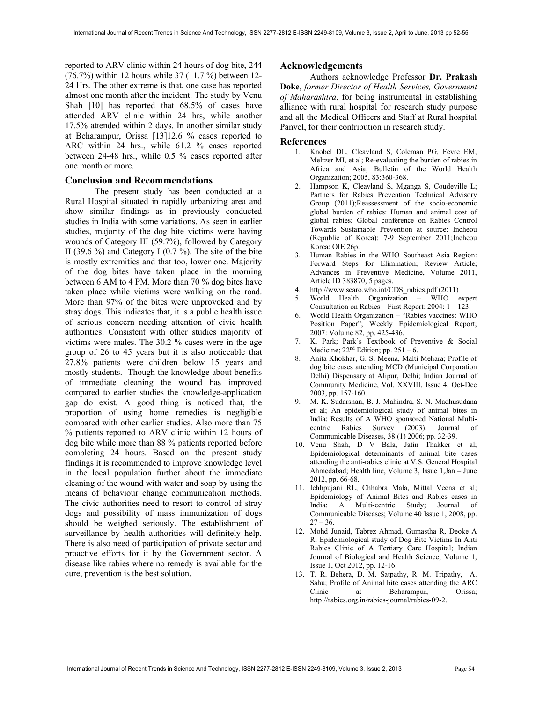reported to ARV clinic within 24 hours of dog bite, 244 (76.7%) within 12 hours while 37 (11.7 %) between 12- 24 Hrs. The other extreme is that, one case has reported almost one month after the incident. The study by Venu Shah [10] has reported that 68.5% of cases have attended ARV clinic within 24 hrs, while another 17.5% attended within 2 days. In another similar study at Beharampur, Orissa [13]12.6 % cases reported to ARC within 24 hrs., while 61.2 % cases reported between 24-48 hrs., while 0.5 % cases reported after one month or more.

## Conclusion and Recommendations

The present study has been conducted at a Rural Hospital situated in rapidly urbanizing area and show similar findings as in previously conducted studies in India with some variations. As seen in earlier studies, majority of the dog bite victims were having wounds of Category III (59.7%), followed by Category II (39.6  $\%$ ) and Category I (0.7  $\%$ ). The site of the bite is mostly extremities and that too, lower one. Majority of the dog bites have taken place in the morning between 6 AM to 4 PM. More than 70 % dog bites have taken place while victims were walking on the road. More than 97% of the bites were unprovoked and by stray dogs. This indicates that, it is a public health issue of serious concern needing attention of civic health authorities. Consistent with other studies majority of victims were males. The 30.2 % cases were in the age group of 26 to 45 years but it is also noticeable that 27.8% patients were children below 15 years and mostly students. Though the knowledge about benefits of immediate cleaning the wound has improved compared to earlier studies the knowledge-application gap do exist. A good thing is noticed that, the proportion of using home remedies is negligible compared with other earlier studies. Also more than 75 % patients reported to ARV clinic within 12 hours of dog bite while more than 88 % patients reported before completing 24 hours. Based on the present study findings it is recommended to improve knowledge level in the local population further about the immediate cleaning of the wound with water and soap by using the means of behaviour change communication methods. The civic authorities need to resort to control of stray dogs and possibility of mass immunization of dogs should be weighed seriously. The establishment of surveillance by health authorities will definitely help. There is also need of participation of private sector and proactive efforts for it by the Government sector. A disease like rabies where no remedy is available for the cure, prevention is the best solution.

## Acknowledgements

Authors acknowledge Professor Dr. Prakash Doke, former Director of Health Services, Government of Maharashtra, for being instrumental in establishing alliance with rural hospital for research study purpose and all the Medical Officers and Staff at Rural hospital Panvel, for their contribution in research study.

## References

- 1. Knobel DL, Cleavland S, Coleman PG, Fevre EM, Meltzer MI, et al; Re-evaluating the burden of rabies in Africa and Asia; Bulletin of the World Health Organization; 2005, 83:360-368.
- 2. Hampson K, Cleavland S, Mganga S, Coudeville L; Partners for Rabies Prevention Technical Advisory Group (2011);Reassessment of the socio-economic global burden of rabies: Human and animal cost of global rabies; Global conference on Rabies Control Towards Sustainable Prevention at source: Incheou (Republic of Korea): 7-9 September 2011;Incheou Korea: OIE 26p.
- 3. Human Rabies in the WHO Southeast Asia Region: Forward Steps for Elimination; Review Article; Advances in Preventive Medicine, Volume 2011, Article ID 383870, 5 pages.
- 4. http://www.searo.who.int/CDS\_rabies.pdf (2011)
- 5. World Health Organization WHO expert Consultation on Rabies – First Report: 2004: 1 – 123.
- 6. World Health Organization "Rabies vaccines: WHO Position Paper"; Weekly Epidemiological Report; 2007: Volume 82, pp. 425-436.
- 7. K. Park; Park's Textbook of Preventive & Social Medicine;  $22<sup>nd</sup>$  Edition; pp.  $251 - 6$ .
- 8. Anita Khokhar, G. S. Meena, Malti Mehara; Profile of dog bite cases attending MCD (Municipal Corporation Delhi) Dispensary at Alipur, Delhi; Indian Journal of Community Medicine, Vol. XXVIII, Issue 4, Oct-Dec 2003, pp. 157-160.
- 9. M. K. Sudarshan, B. J. Mahindra, S. N. Madhusudana et al; An epidemiological study of animal bites in India: Results of A WHO sponsored National Multicentric Rabies Survey (2003), Journal of Communicable Diseases, 38 (1) 2006; pp. 32-39.
- 10. Venu Shah, D V Bala, Jatin Thakker et al; Epidemiological determinants of animal bite cases attending the anti-rabies clinic at V.S. General Hospital Ahmedabad; Health line, Volume 3, Issue 1,Jan – June 2012, pp. 66-68.
- 11. Ichhpujani RL, Chhabra Mala, Mittal Veena et al; Epidemiology of Animal Bites and Rabies cases in India: A Multi-centric Study; Journal of Communicable Diseases; Volume 40 Issue 1, 2008, pp.  $27 - 36.$
- 12. Mohd Junaid, Tabrez Ahmad, Gumastha R, Deoke A R; Epidemiological study of Dog Bite Victims In Anti Rabies Clinic of A Tertiary Care Hospital; Indian Journal of Biological and Health Science; Volume 1, Issue 1, Oct 2012, pp. 12-16.
- 13. T. R. Behera, D. M. Satpathy, R. M. Tripathy, A. Sahu; Profile of Animal bite cases attending the ARC Clinic at Beharampur, Orissa; http://rabies.org.in/rabies-journal/rabies-09-2.